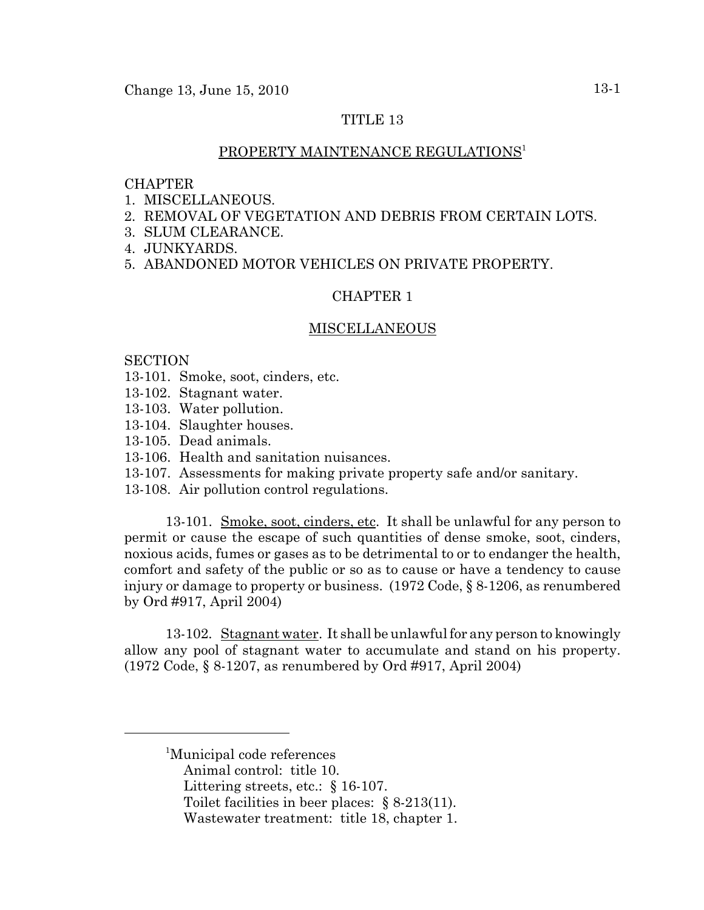# TITLE 13

# PROPERTY MAINTENANCE REGULATIONS<sup>1</sup>

#### CHAPTER

- 1. MISCELLANEOUS.
- 2. REMOVAL OF VEGETATION AND DEBRIS FROM CERTAIN LOTS.
- 3. SLUM CLEARANCE.
- 4. JUNKYARDS.
- 5. ABANDONED MOTOR VEHICLES ON PRIVATE PROPERTY.

# CHAPTER 1

### MISCELLANEOUS

## **SECTION**

- 13-101. Smoke, soot, cinders, etc.
- 13-102. Stagnant water.
- 13-103. Water pollution.
- 13-104. Slaughter houses.
- 13-105. Dead animals.
- 13-106. Health and sanitation nuisances.
- 13-107. Assessments for making private property safe and/or sanitary.
- 13-108. Air pollution control regulations.

13-101. Smoke, soot, cinders, etc. It shall be unlawful for any person to permit or cause the escape of such quantities of dense smoke, soot, cinders, noxious acids, fumes or gases as to be detrimental to or to endanger the health, comfort and safety of the public or so as to cause or have a tendency to cause injury or damage to property or business. (1972 Code, § 8-1206, as renumbered by Ord #917, April 2004)

13-102. Stagnant water. It shall be unlawful for any person to knowingly allow any pool of stagnant water to accumulate and stand on his property. (1972 Code, § 8-1207, as renumbered by Ord #917, April 2004)

Littering streets, etc.: § 16-107.

<sup>1</sup> Municipal code references

Animal control: title 10.

Toilet facilities in beer places: § 8-213(11).

Wastewater treatment: title 18, chapter 1.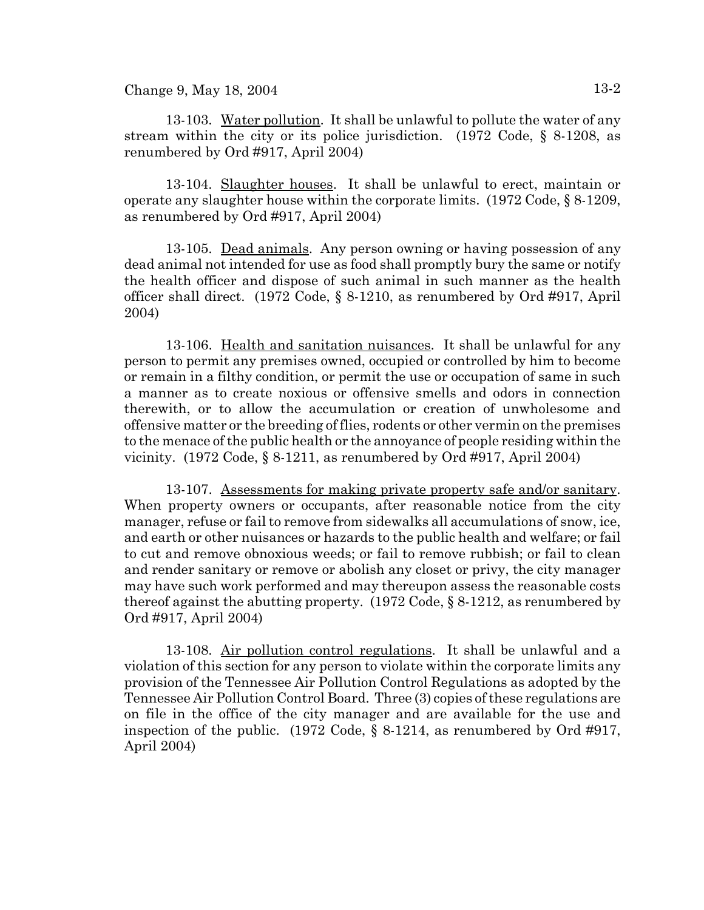Change 9, May  $18, 2004$  13-2

13-103. Water pollution. It shall be unlawful to pollute the water of any stream within the city or its police jurisdiction. (1972 Code, § 8-1208, as renumbered by Ord #917, April 2004)

13-104. Slaughter houses. It shall be unlawful to erect, maintain or operate any slaughter house within the corporate limits.  $(1972 \text{ Code}, \S 8-1209, \S 1209)$ as renumbered by Ord #917, April 2004)

13-105. Dead animals. Any person owning or having possession of any dead animal not intended for use as food shall promptly bury the same or notify the health officer and dispose of such animal in such manner as the health officer shall direct. (1972 Code, § 8-1210, as renumbered by Ord #917, April 2004)

13-106. Health and sanitation nuisances. It shall be unlawful for any person to permit any premises owned, occupied or controlled by him to become or remain in a filthy condition, or permit the use or occupation of same in such a manner as to create noxious or offensive smells and odors in connection therewith, or to allow the accumulation or creation of unwholesome and offensive matter or the breeding of flies, rodents or other vermin on the premises to the menace of the public health or the annoyance of people residing within the vicinity. (1972 Code, § 8-1211, as renumbered by Ord #917, April 2004)

13-107. Assessments for making private property safe and/or sanitary. When property owners or occupants, after reasonable notice from the city manager, refuse or fail to remove from sidewalks all accumulations of snow, ice, and earth or other nuisances or hazards to the public health and welfare; or fail to cut and remove obnoxious weeds; or fail to remove rubbish; or fail to clean and render sanitary or remove or abolish any closet or privy, the city manager may have such work performed and may thereupon assess the reasonable costs thereof against the abutting property.  $(1972 \text{ Code}, \S 8-1212)$ , as renumbered by Ord #917, April 2004)

13-108. Air pollution control regulations. It shall be unlawful and a violation of this section for any person to violate within the corporate limits any provision of the Tennessee Air Pollution Control Regulations as adopted by the Tennessee Air Pollution Control Board. Three (3) copies of these regulations are on file in the office of the city manager and are available for the use and inspection of the public. (1972 Code,  $\S$  8-1214, as renumbered by Ord #917, April 2004)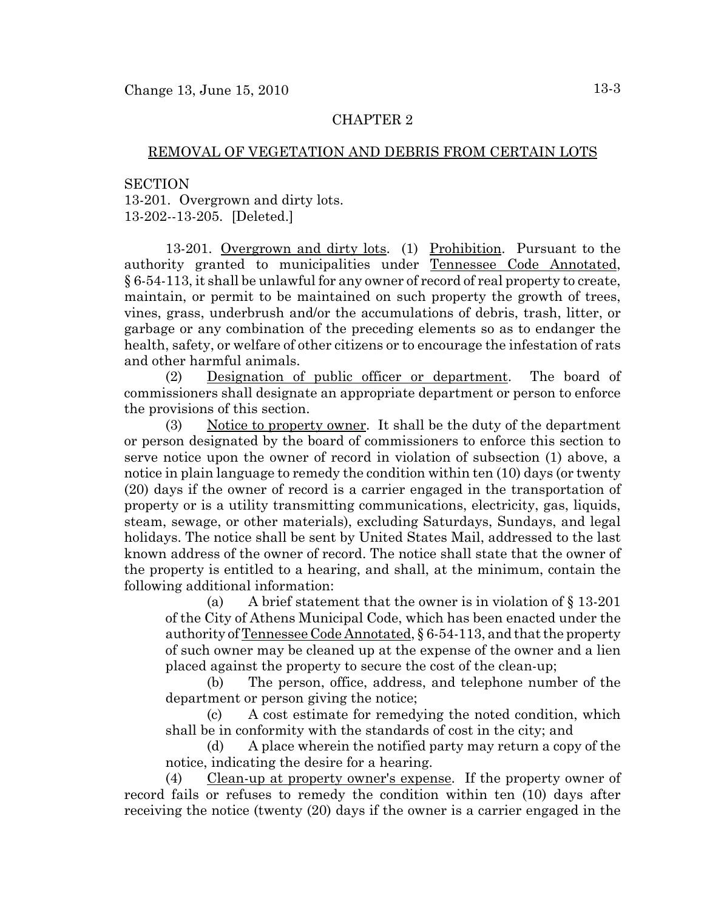## REMOVAL OF VEGETATION AND DEBRIS FROM CERTAIN LOTS

**SECTION** 13-201. Overgrown and dirty lots. 13-202--13-205. [Deleted.]

13-201. Overgrown and dirty lots. (1) Prohibition. Pursuant to the authority granted to municipalities under Tennessee Code Annotated, § 6-54-113, it shall be unlawful for any owner of record of real property to create, maintain, or permit to be maintained on such property the growth of trees, vines, grass, underbrush and/or the accumulations of debris, trash, litter, or garbage or any combination of the preceding elements so as to endanger the health, safety, or welfare of other citizens or to encourage the infestation of rats and other harmful animals.

(2) Designation of public officer or department. The board of commissioners shall designate an appropriate department or person to enforce the provisions of this section.

(3) Notice to property owner. It shall be the duty of the department or person designated by the board of commissioners to enforce this section to serve notice upon the owner of record in violation of subsection (1) above, a notice in plain language to remedy the condition within ten (10) days (or twenty (20) days if the owner of record is a carrier engaged in the transportation of property or is a utility transmitting communications, electricity, gas, liquids, steam, sewage, or other materials), excluding Saturdays, Sundays, and legal holidays. The notice shall be sent by United States Mail, addressed to the last known address of the owner of record. The notice shall state that the owner of the property is entitled to a hearing, and shall, at the minimum, contain the following additional information:

(a) A brief statement that the owner is in violation of § 13-201 of the City of Athens Municipal Code, which has been enacted under the authority of Tennessee Code Annotated, § 6-54-113, and that the property of such owner may be cleaned up at the expense of the owner and a lien placed against the property to secure the cost of the clean-up;

(b) The person, office, address, and telephone number of the department or person giving the notice;

(c) A cost estimate for remedying the noted condition, which shall be in conformity with the standards of cost in the city; and

(d) A place wherein the notified party may return a copy of the notice, indicating the desire for a hearing.

(4) Clean-up at property owner's expense. If the property owner of record fails or refuses to remedy the condition within ten (10) days after receiving the notice (twenty (20) days if the owner is a carrier engaged in the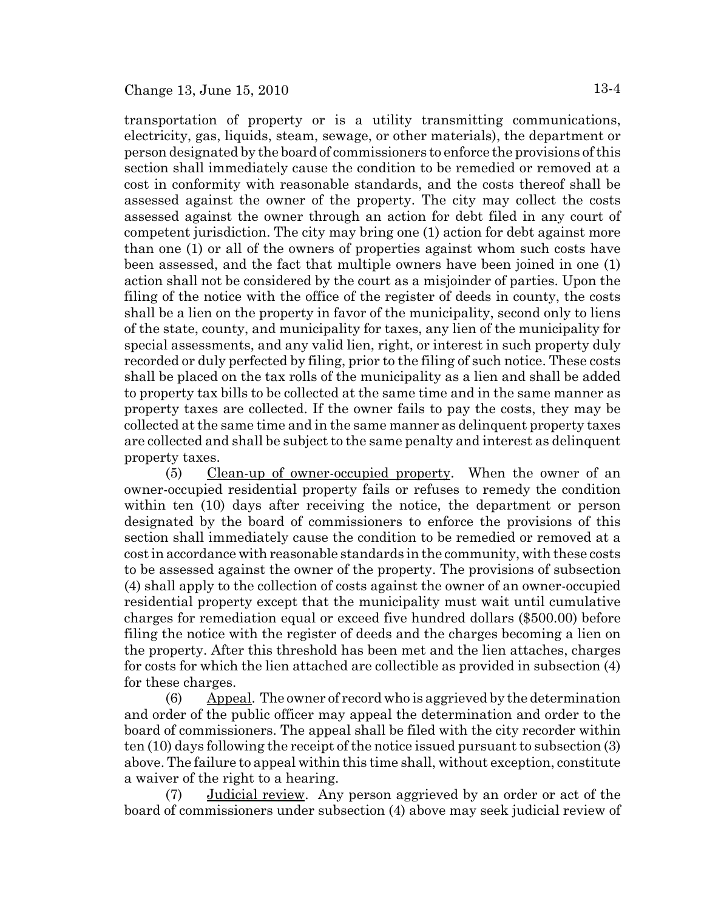transportation of property or is a utility transmitting communications, electricity, gas, liquids, steam, sewage, or other materials), the department or person designated by the board of commissioners to enforce the provisions of this section shall immediately cause the condition to be remedied or removed at a cost in conformity with reasonable standards, and the costs thereof shall be assessed against the owner of the property. The city may collect the costs assessed against the owner through an action for debt filed in any court of competent jurisdiction. The city may bring one (1) action for debt against more than one (1) or all of the owners of properties against whom such costs have been assessed, and the fact that multiple owners have been joined in one (1) action shall not be considered by the court as a misjoinder of parties. Upon the filing of the notice with the office of the register of deeds in county, the costs shall be a lien on the property in favor of the municipality, second only to liens of the state, county, and municipality for taxes, any lien of the municipality for special assessments, and any valid lien, right, or interest in such property duly recorded or duly perfected by filing, prior to the filing of such notice. These costs shall be placed on the tax rolls of the municipality as a lien and shall be added to property tax bills to be collected at the same time and in the same manner as property taxes are collected. If the owner fails to pay the costs, they may be collected at the same time and in the same manner as delinquent property taxes are collected and shall be subject to the same penalty and interest as delinquent property taxes.

(5) Clean-up of owner-occupied property. When the owner of an owner-occupied residential property fails or refuses to remedy the condition within ten (10) days after receiving the notice, the department or person designated by the board of commissioners to enforce the provisions of this section shall immediately cause the condition to be remedied or removed at a cost in accordance with reasonable standards in the community, with these costs to be assessed against the owner of the property. The provisions of subsection (4) shall apply to the collection of costs against the owner of an owner-occupied residential property except that the municipality must wait until cumulative charges for remediation equal or exceed five hundred dollars (\$500.00) before filing the notice with the register of deeds and the charges becoming a lien on the property. After this threshold has been met and the lien attaches, charges for costs for which the lien attached are collectible as provided in subsection (4) for these charges.

(6) Appeal. The owner of record who is aggrieved by the determination and order of the public officer may appeal the determination and order to the board of commissioners. The appeal shall be filed with the city recorder within ten (10) days following the receipt of the notice issued pursuant to subsection (3) above. The failure to appeal within this time shall, without exception, constitute a waiver of the right to a hearing.

(7) Judicial review. Any person aggrieved by an order or act of the board of commissioners under subsection (4) above may seek judicial review of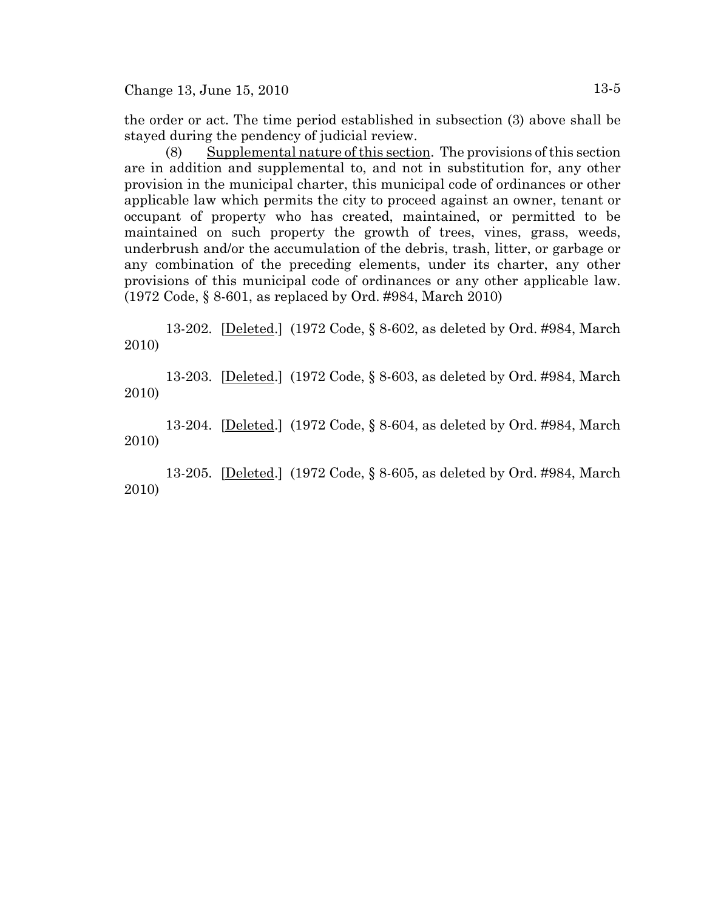Change 13, June 15, 2010 13-5

the order or act. The time period established in subsection (3) above shall be stayed during the pendency of judicial review.

(8) Supplemental nature of this section. The provisions of this section are in addition and supplemental to, and not in substitution for, any other provision in the municipal charter, this municipal code of ordinances or other applicable law which permits the city to proceed against an owner, tenant or occupant of property who has created, maintained, or permitted to be maintained on such property the growth of trees, vines, grass, weeds, underbrush and/or the accumulation of the debris, trash, litter, or garbage or any combination of the preceding elements, under its charter, any other provisions of this municipal code of ordinances or any other applicable law. (1972 Code, § 8-601, as replaced by Ord. #984, March 2010)

13-202. [Deleted.] (1972 Code, § 8-602, as deleted by Ord. #984, March 2010)

13-203. [Deleted.] (1972 Code, § 8-603, as deleted by Ord. #984, March 2010)

13-204. [Deleted.] (1972 Code, § 8-604, as deleted by Ord. #984, March 2010)

13-205. [Deleted.] (1972 Code, § 8-605, as deleted by Ord. #984, March 2010)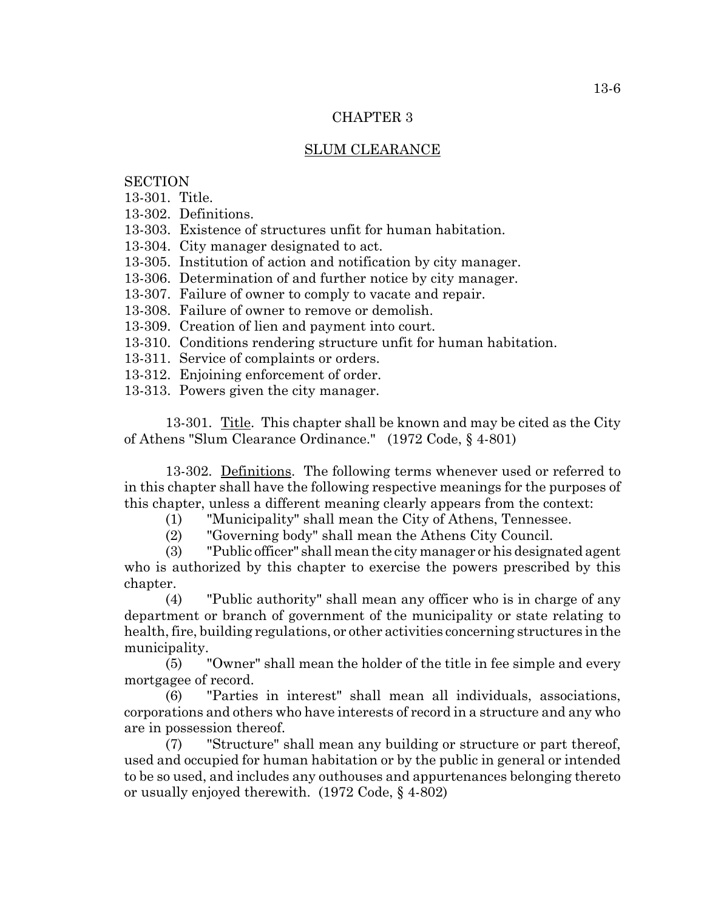# SLUM CLEARANCE

# **SECTION**

13-301. Title.

13-302. Definitions.

13-303. Existence of structures unfit for human habitation.

13-304. City manager designated to act.

13-305. Institution of action and notification by city manager.

13-306. Determination of and further notice by city manager.

13-307. Failure of owner to comply to vacate and repair.

13-308. Failure of owner to remove or demolish.

13-309. Creation of lien and payment into court.

13-310. Conditions rendering structure unfit for human habitation.

13-311. Service of complaints or orders.

13-312. Enjoining enforcement of order.

13-313. Powers given the city manager.

13-301. Title. This chapter shall be known and may be cited as the City of Athens "Slum Clearance Ordinance." (1972 Code, § 4-801)

13-302. Definitions. The following terms whenever used or referred to in this chapter shall have the following respective meanings for the purposes of this chapter, unless a different meaning clearly appears from the context:

(1) "Municipality" shall mean the City of Athens, Tennessee.

(2) "Governing body" shall mean the Athens City Council.

(3) "Public officer" shall mean the city manager or his designated agent who is authorized by this chapter to exercise the powers prescribed by this chapter.

(4) "Public authority" shall mean any officer who is in charge of any department or branch of government of the municipality or state relating to health, fire, building regulations, or other activities concerning structures in the municipality.

(5) "Owner" shall mean the holder of the title in fee simple and every mortgagee of record.

(6) "Parties in interest" shall mean all individuals, associations, corporations and others who have interests of record in a structure and any who are in possession thereof.

(7) "Structure" shall mean any building or structure or part thereof, used and occupied for human habitation or by the public in general or intended to be so used, and includes any outhouses and appurtenances belonging thereto or usually enjoyed therewith. (1972 Code, § 4-802)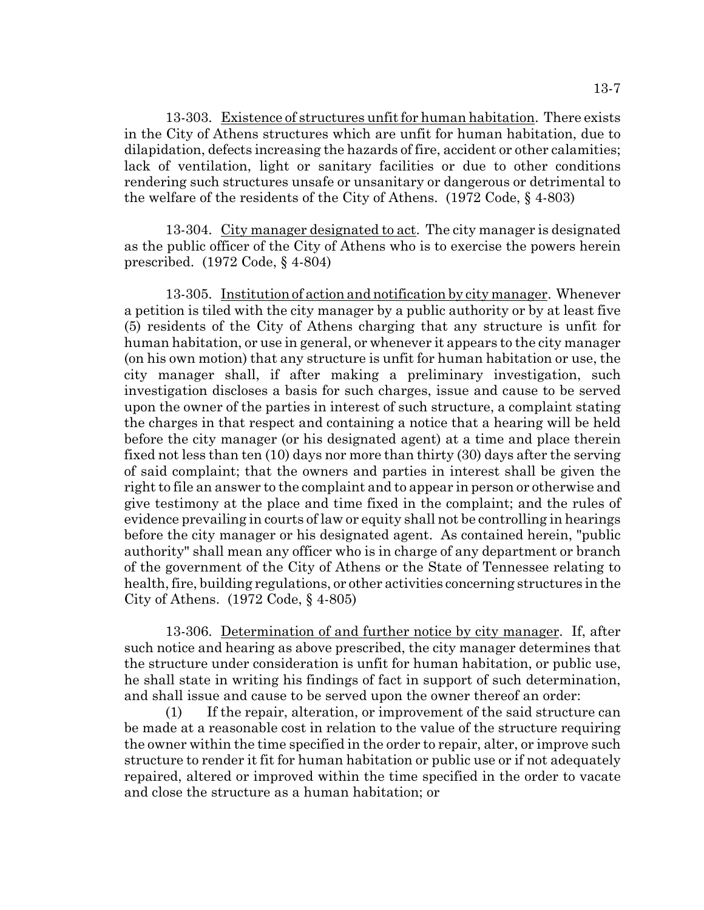13-303. Existence of structures unfit for human habitation. There exists in the City of Athens structures which are unfit for human habitation, due to dilapidation, defects increasing the hazards of fire, accident or other calamities; lack of ventilation, light or sanitary facilities or due to other conditions rendering such structures unsafe or unsanitary or dangerous or detrimental to the welfare of the residents of the City of Athens. (1972 Code, § 4-803)

13-304. City manager designated to act. The city manager is designated as the public officer of the City of Athens who is to exercise the powers herein prescribed. (1972 Code, § 4-804)

13-305. Institution of action and notification by city manager. Whenever a petition is tiled with the city manager by a public authority or by at least five (5) residents of the City of Athens charging that any structure is unfit for human habitation, or use in general, or whenever it appears to the city manager (on his own motion) that any structure is unfit for human habitation or use, the city manager shall, if after making a preliminary investigation, such investigation discloses a basis for such charges, issue and cause to be served upon the owner of the parties in interest of such structure, a complaint stating the charges in that respect and containing a notice that a hearing will be held before the city manager (or his designated agent) at a time and place therein fixed not less than ten (10) days nor more than thirty (30) days after the serving of said complaint; that the owners and parties in interest shall be given the right to file an answer to the complaint and to appear in person or otherwise and give testimony at the place and time fixed in the complaint; and the rules of evidence prevailing in courts of law or equity shall not be controlling in hearings before the city manager or his designated agent. As contained herein, "public authority" shall mean any officer who is in charge of any department or branch of the government of the City of Athens or the State of Tennessee relating to health, fire, building regulations, or other activities concerning structures in the City of Athens. (1972 Code, § 4-805)

13-306. Determination of and further notice by city manager. If, after such notice and hearing as above prescribed, the city manager determines that the structure under consideration is unfit for human habitation, or public use, he shall state in writing his findings of fact in support of such determination, and shall issue and cause to be served upon the owner thereof an order:

(1) If the repair, alteration, or improvement of the said structure can be made at a reasonable cost in relation to the value of the structure requiring the owner within the time specified in the order to repair, alter, or improve such structure to render it fit for human habitation or public use or if not adequately repaired, altered or improved within the time specified in the order to vacate and close the structure as a human habitation; or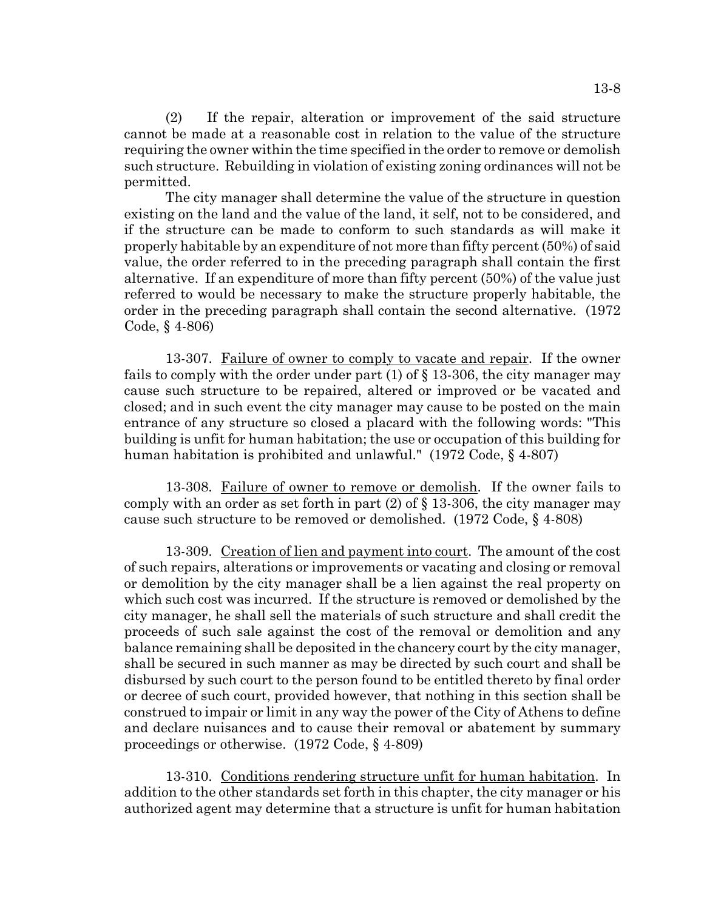(2) If the repair, alteration or improvement of the said structure cannot be made at a reasonable cost in relation to the value of the structure requiring the owner within the time specified in the order to remove or demolish such structure. Rebuilding in violation of existing zoning ordinances will not be permitted.

The city manager shall determine the value of the structure in question existing on the land and the value of the land, it self, not to be considered, and if the structure can be made to conform to such standards as will make it properly habitable by an expenditure of not more than fifty percent (50%) of said value, the order referred to in the preceding paragraph shall contain the first alternative. If an expenditure of more than fifty percent (50%) of the value just referred to would be necessary to make the structure properly habitable, the order in the preceding paragraph shall contain the second alternative. (1972 Code, § 4-806)

13-307. Failure of owner to comply to vacate and repair. If the owner fails to comply with the order under part  $(1)$  of  $\S$  13-306, the city manager may cause such structure to be repaired, altered or improved or be vacated and closed; and in such event the city manager may cause to be posted on the main entrance of any structure so closed a placard with the following words: "This building is unfit for human habitation; the use or occupation of this building for human habitation is prohibited and unlawful." (1972 Code, § 4-807)

13-308. Failure of owner to remove or demolish. If the owner fails to comply with an order as set forth in part  $(2)$  of  $\S$  13-306, the city manager may cause such structure to be removed or demolished. (1972 Code, § 4-808)

13-309. Creation of lien and payment into court. The amount of the cost of such repairs, alterations or improvements or vacating and closing or removal or demolition by the city manager shall be a lien against the real property on which such cost was incurred. If the structure is removed or demolished by the city manager, he shall sell the materials of such structure and shall credit the proceeds of such sale against the cost of the removal or demolition and any balance remaining shall be deposited in the chancery court by the city manager, shall be secured in such manner as may be directed by such court and shall be disbursed by such court to the person found to be entitled thereto by final order or decree of such court, provided however, that nothing in this section shall be construed to impair or limit in any way the power of the City of Athens to define and declare nuisances and to cause their removal or abatement by summary proceedings or otherwise. (1972 Code, § 4-809)

13-310. Conditions rendering structure unfit for human habitation. In addition to the other standards set forth in this chapter, the city manager or his authorized agent may determine that a structure is unfit for human habitation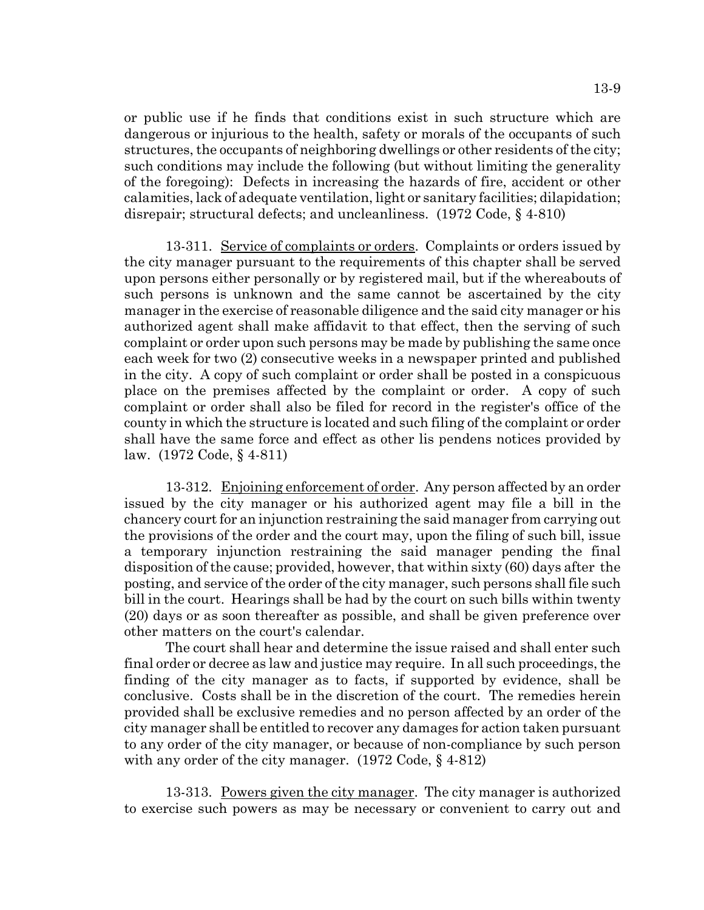or public use if he finds that conditions exist in such structure which are dangerous or injurious to the health, safety or morals of the occupants of such structures, the occupants of neighboring dwellings or other residents of the city; such conditions may include the following (but without limiting the generality of the foregoing): Defects in increasing the hazards of fire, accident or other calamities, lack of adequate ventilation, light or sanitary facilities; dilapidation; disrepair; structural defects; and uncleanliness. (1972 Code, § 4-810)

13-311. Service of complaints or orders. Complaints or orders issued by the city manager pursuant to the requirements of this chapter shall be served upon persons either personally or by registered mail, but if the whereabouts of such persons is unknown and the same cannot be ascertained by the city manager in the exercise of reasonable diligence and the said city manager or his authorized agent shall make affidavit to that effect, then the serving of such complaint or order upon such persons may be made by publishing the same once each week for two (2) consecutive weeks in a newspaper printed and published in the city. A copy of such complaint or order shall be posted in a conspicuous place on the premises affected by the complaint or order. A copy of such complaint or order shall also be filed for record in the register's office of the county in which the structure is located and such filing of the complaint or order shall have the same force and effect as other lis pendens notices provided by law. (1972 Code, § 4-811)

13-312. Enjoining enforcement of order. Any person affected by an order issued by the city manager or his authorized agent may file a bill in the chancery court for an injunction restraining the said manager from carrying out the provisions of the order and the court may, upon the filing of such bill, issue a temporary injunction restraining the said manager pending the final disposition of the cause; provided, however, that within sixty (60) days after the posting, and service of the order of the city manager, such persons shall file such bill in the court. Hearings shall be had by the court on such bills within twenty (20) days or as soon thereafter as possible, and shall be given preference over other matters on the court's calendar.

The court shall hear and determine the issue raised and shall enter such final order or decree as law and justice may require. In all such proceedings, the finding of the city manager as to facts, if supported by evidence, shall be conclusive. Costs shall be in the discretion of the court. The remedies herein provided shall be exclusive remedies and no person affected by an order of the city manager shall be entitled to recover any damages for action taken pursuant to any order of the city manager, or because of non-compliance by such person with any order of the city manager. (1972 Code, § 4-812)

13-313. Powers given the city manager. The city manager is authorized to exercise such powers as may be necessary or convenient to carry out and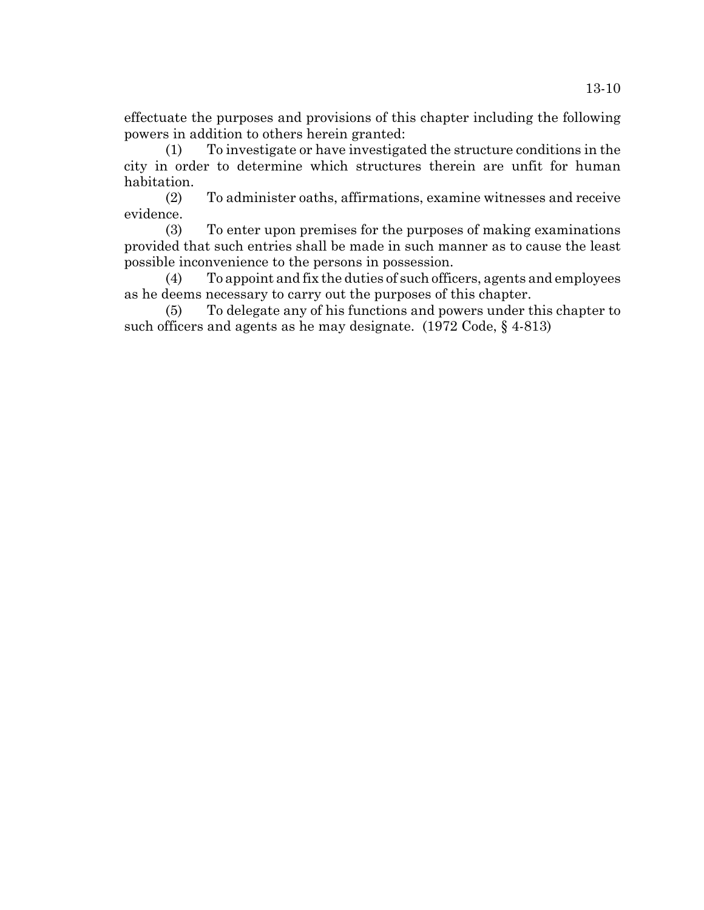effectuate the purposes and provisions of this chapter including the following powers in addition to others herein granted:

(1) To investigate or have investigated the structure conditions in the city in order to determine which structures therein are unfit for human habitation.

(2) To administer oaths, affirmations, examine witnesses and receive evidence.

(3) To enter upon premises for the purposes of making examinations provided that such entries shall be made in such manner as to cause the least possible inconvenience to the persons in possession.

(4) To appoint and fix the duties of such officers, agents and employees as he deems necessary to carry out the purposes of this chapter.

(5) To delegate any of his functions and powers under this chapter to such officers and agents as he may designate. (1972 Code, § 4-813)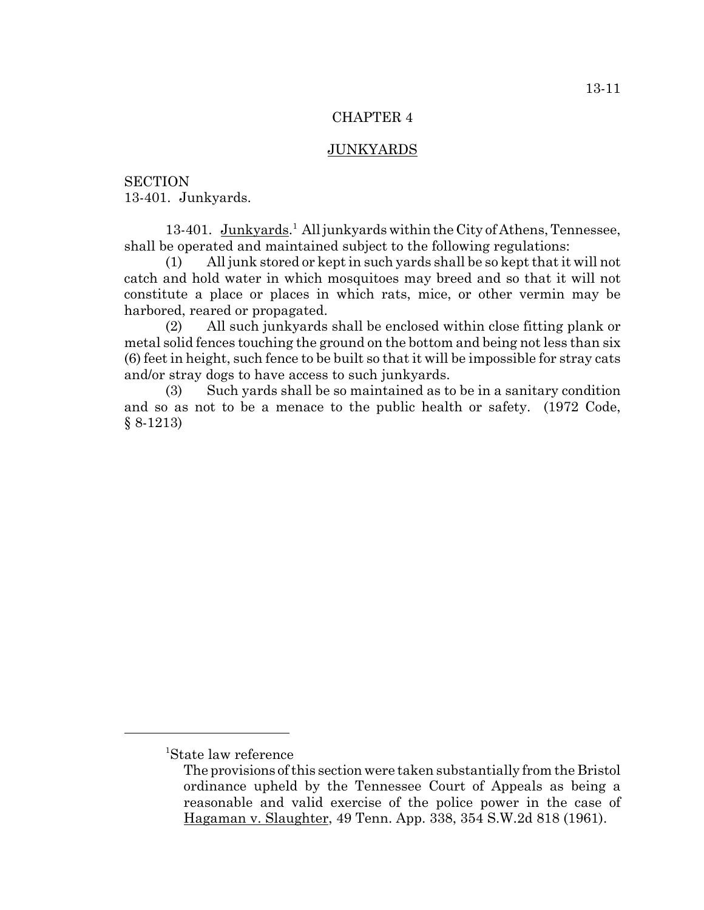### JUNKYARDS

**SECTION** 13-401. Junkyards.

13-401. Junkyards.<sup>1</sup> All junkyards within the City of Athens, Tennessee, shall be operated and maintained subject to the following regulations:

(1) All junk stored or kept in such yards shall be so kept that it will not catch and hold water in which mosquitoes may breed and so that it will not constitute a place or places in which rats, mice, or other vermin may be harbored, reared or propagated.

(2) All such junkyards shall be enclosed within close fitting plank or metal solid fences touching the ground on the bottom and being not less than six (6) feet in height, such fence to be built so that it will be impossible for stray cats and/or stray dogs to have access to such junkyards.

(3) Such yards shall be so maintained as to be in a sanitary condition and so as not to be a menace to the public health or safety. (1972 Code, § 8-1213)

<sup>1</sup> State law reference

The provisions of this section were taken substantially from the Bristol ordinance upheld by the Tennessee Court of Appeals as being a reasonable and valid exercise of the police power in the case of Hagaman v. Slaughter, 49 Tenn. App. 338, 354 S.W.2d 818 (1961).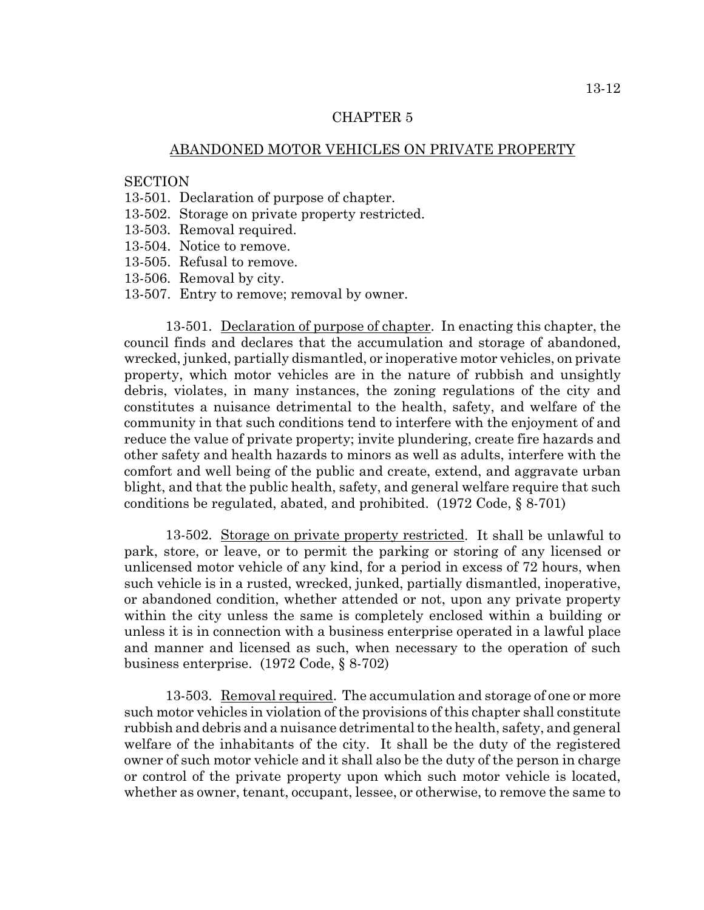## ABANDONED MOTOR VEHICLES ON PRIVATE PROPERTY

#### **SECTION**

- 13-501. Declaration of purpose of chapter.
- 13-502. Storage on private property restricted.
- 13-503. Removal required.
- 13-504. Notice to remove.
- 13-505. Refusal to remove.
- 13-506. Removal by city.
- 13-507. Entry to remove; removal by owner.

13-501. Declaration of purpose of chapter. In enacting this chapter, the council finds and declares that the accumulation and storage of abandoned, wrecked, junked, partially dismantled, or inoperative motor vehicles, on private property, which motor vehicles are in the nature of rubbish and unsightly debris, violates, in many instances, the zoning regulations of the city and constitutes a nuisance detrimental to the health, safety, and welfare of the community in that such conditions tend to interfere with the enjoyment of and reduce the value of private property; invite plundering, create fire hazards and other safety and health hazards to minors as well as adults, interfere with the comfort and well being of the public and create, extend, and aggravate urban blight, and that the public health, safety, and general welfare require that such conditions be regulated, abated, and prohibited. (1972 Code, § 8-701)

13-502. Storage on private property restricted. It shall be unlawful to park, store, or leave, or to permit the parking or storing of any licensed or unlicensed motor vehicle of any kind, for a period in excess of 72 hours, when such vehicle is in a rusted, wrecked, junked, partially dismantled, inoperative, or abandoned condition, whether attended or not, upon any private property within the city unless the same is completely enclosed within a building or unless it is in connection with a business enterprise operated in a lawful place and manner and licensed as such, when necessary to the operation of such business enterprise. (1972 Code, § 8-702)

13-503. Removal required. The accumulation and storage of one or more such motor vehicles in violation of the provisions of this chapter shall constitute rubbish and debris and a nuisance detrimental to the health, safety, and general welfare of the inhabitants of the city. It shall be the duty of the registered owner of such motor vehicle and it shall also be the duty of the person in charge or control of the private property upon which such motor vehicle is located, whether as owner, tenant, occupant, lessee, or otherwise, to remove the same to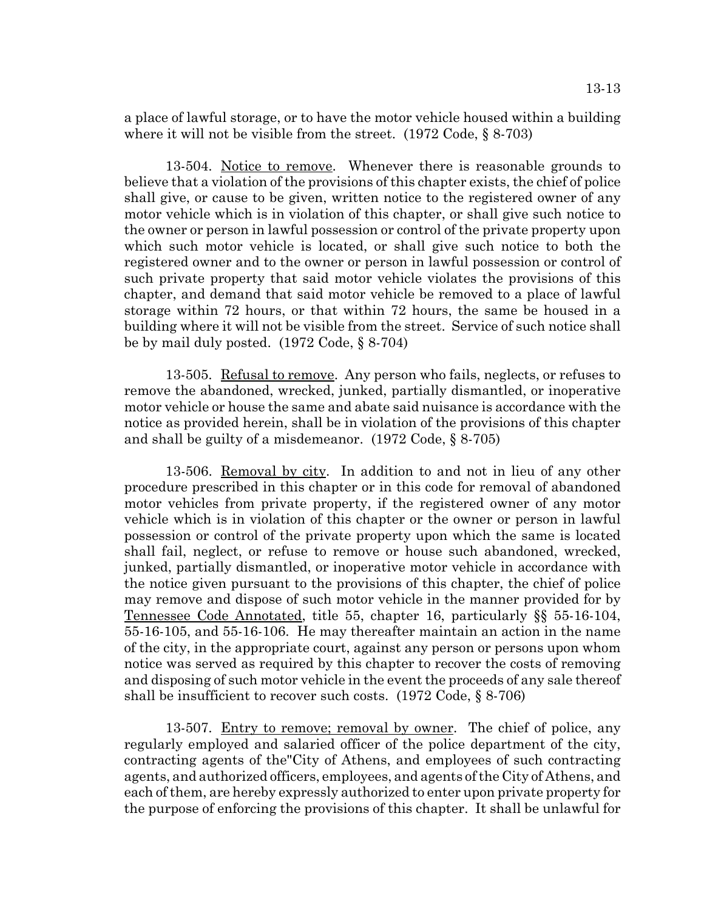a place of lawful storage, or to have the motor vehicle housed within a building where it will not be visible from the street. (1972 Code, § 8-703)

13-504. Notice to remove. Whenever there is reasonable grounds to believe that a violation of the provisions of this chapter exists, the chief of police shall give, or cause to be given, written notice to the registered owner of any motor vehicle which is in violation of this chapter, or shall give such notice to the owner or person in lawful possession or control of the private property upon which such motor vehicle is located, or shall give such notice to both the registered owner and to the owner or person in lawful possession or control of such private property that said motor vehicle violates the provisions of this chapter, and demand that said motor vehicle be removed to a place of lawful storage within 72 hours, or that within 72 hours, the same be housed in a building where it will not be visible from the street. Service of such notice shall be by mail duly posted. (1972 Code, § 8-704)

13-505. Refusal to remove. Any person who fails, neglects, or refuses to remove the abandoned, wrecked, junked, partially dismantled, or inoperative motor vehicle or house the same and abate said nuisance is accordance with the notice as provided herein, shall be in violation of the provisions of this chapter and shall be guilty of a misdemeanor. (1972 Code, § 8-705)

13-506. Removal by city. In addition to and not in lieu of any other procedure prescribed in this chapter or in this code for removal of abandoned motor vehicles from private property, if the registered owner of any motor vehicle which is in violation of this chapter or the owner or person in lawful possession or control of the private property upon which the same is located shall fail, neglect, or refuse to remove or house such abandoned, wrecked, junked, partially dismantled, or inoperative motor vehicle in accordance with the notice given pursuant to the provisions of this chapter, the chief of police may remove and dispose of such motor vehicle in the manner provided for by Tennessee Code Annotated, title 55, chapter 16, particularly §§ 55-16-104, 55-16-105, and 55-16-106. He may thereafter maintain an action in the name of the city, in the appropriate court, against any person or persons upon whom notice was served as required by this chapter to recover the costs of removing and disposing of such motor vehicle in the event the proceeds of any sale thereof shall be insufficient to recover such costs. (1972 Code, § 8-706)

13-507. Entry to remove; removal by owner. The chief of police, any regularly employed and salaried officer of the police department of the city, contracting agents of the"City of Athens, and employees of such contracting agents, and authorized officers, employees, and agents of the City of Athens, and each of them, are hereby expressly authorized to enter upon private property for the purpose of enforcing the provisions of this chapter. It shall be unlawful for